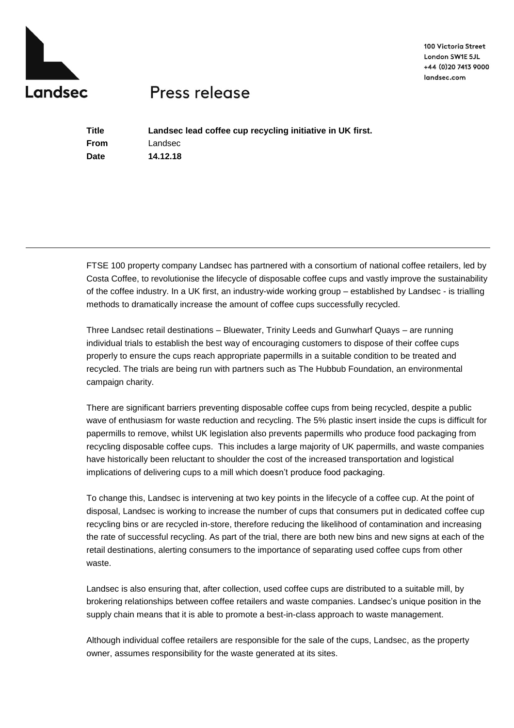

100 Victoria Street London SW1E 5JL +44 (0) 20 7413 9000 landsec.com

## Press release

**Title Landsec lead coffee cup recycling initiative in UK first. From** Landsec **Date 14.12.18**

FTSE 100 property company Landsec has partnered with a consortium of national coffee retailers, led by Costa Coffee, to revolutionise the lifecycle of disposable coffee cups and vastly improve the sustainability of the coffee industry. In a UK first, an industry-wide working group – established by Landsec - is trialling methods to dramatically increase the amount of coffee cups successfully recycled.

Three Landsec retail destinations – Bluewater, Trinity Leeds and Gunwharf Quays – are running individual trials to establish the best way of encouraging customers to dispose of their coffee cups properly to ensure the cups reach appropriate papermills in a suitable condition to be treated and recycled. The trials are being run with partners such as The Hubbub Foundation, an environmental campaign charity.

There are significant barriers preventing disposable coffee cups from being recycled, despite a public wave of enthusiasm for waste reduction and recycling. The 5% plastic insert inside the cups is difficult for papermills to remove, whilst UK legislation also prevents papermills who produce food packaging from recycling disposable coffee cups. This includes a large majority of UK papermills, and waste companies have historically been reluctant to shoulder the cost of the increased transportation and logistical implications of delivering cups to a mill which doesn't produce food packaging.

To change this, Landsec is intervening at two key points in the lifecycle of a coffee cup. At the point of disposal, Landsec is working to increase the number of cups that consumers put in dedicated coffee cup recycling bins or are recycled in-store, therefore reducing the likelihood of contamination and increasing the rate of successful recycling. As part of the trial, there are both new bins and new signs at each of the retail destinations, alerting consumers to the importance of separating used coffee cups from other waste.

Landsec is also ensuring that, after collection, used coffee cups are distributed to a suitable mill, by brokering relationships between coffee retailers and waste companies. Landsec's unique position in the supply chain means that it is able to promote a best-in-class approach to waste management.

Although individual coffee retailers are responsible for the sale of the cups, Landsec, as the property owner, assumes responsibility for the waste generated at its sites.